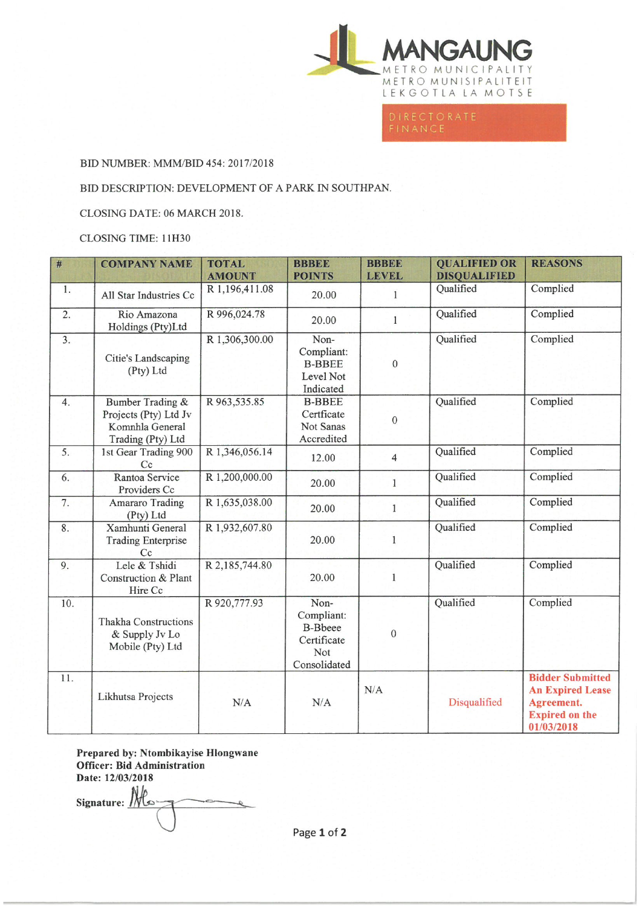

## BID NUMBER: MMM/BID 454: 2017/2018

## BID DESCRIPTION: DEVELOPMENT OF A PARK IN SOUTHPAN.

CLOSING DATE: 06 MARCH 2018.

## CLOSING TIME: 11H30

| #                | <b>COMPANY NAME</b>                                                               | <b>TOTAL</b><br><b>AMOUNT</b> | <b>BBBEE</b><br><b>POINTS</b>                                              | <b>BBBEE</b><br><b>LEVEL</b> | <b>QUALIFIED OR</b><br><b>DISQUALIFIED</b> | <b>REASONS</b>                                                                                          |
|------------------|-----------------------------------------------------------------------------------|-------------------------------|----------------------------------------------------------------------------|------------------------------|--------------------------------------------|---------------------------------------------------------------------------------------------------------|
| 1.               | All Star Industries Cc                                                            | R 1,196,411.08                | 20.00                                                                      | 1                            | Qualified                                  | Complied                                                                                                |
| 2.               | Rio Amazona<br>Holdings (Pty)Ltd                                                  | R 996,024.78                  | 20.00                                                                      | $\mathbf{1}$                 | Qualified                                  | Complied                                                                                                |
| $\overline{3}$ . | Citie's Landscaping<br>(Pty) Ltd                                                  | R 1,306,300.00                | Non-<br>Compliant:<br><b>B-BBEE</b><br>Level Not<br>Indicated              | $\mathbf{0}$                 | Qualified                                  | Complied                                                                                                |
| $\overline{4}$ . | Bumber Trading &<br>Projects (Pty) Ltd Jv<br>Komnhla General<br>Trading (Pty) Ltd | R 963,535.85                  | <b>B-BBEE</b><br>Certficate<br>Not Sanas<br>Accredited                     | $\mathbf{0}$                 | Qualified                                  | Complied                                                                                                |
| 5 <sub>1</sub>   | 1st Gear Trading 900<br>Cc                                                        | R 1,346,056.14                | 12.00                                                                      | $\overline{4}$               | Qualified                                  | Complied                                                                                                |
| 6.               | Rantoa Service<br>Providers Cc                                                    | R 1,200,000.00                | 20.00                                                                      | $\mathbf{1}$                 | Qualified                                  | Complied                                                                                                |
| 7.               | <b>Amararo Trading</b><br>(Pty) Ltd                                               | R 1,635,038.00                | 20.00                                                                      | 1                            | Qualified                                  | Complied                                                                                                |
| $\overline{8}$ . | Xamhunti General<br><b>Trading Enterprise</b><br>Cc                               | R 1,932,607.80                | 20.00                                                                      | $\mathbf{1}$                 | Qualified                                  | Complied                                                                                                |
| 9.               | Lele & Tshidi<br>Construction & Plant<br>Hire Cc                                  | R 2,185,744.80                | 20.00                                                                      | 1                            | Qualified                                  | Complied                                                                                                |
| 10.              | <b>Thakha Constructions</b><br>& Supply Jv Lo<br>Mobile (Pty) Ltd                 | R 920,777.93                  | Non-<br>Compliant:<br><b>B-Bbeee</b><br>Certificate<br>Not<br>Consolidated | $\mathbf{0}$                 | Qualified                                  | Complied                                                                                                |
| 11.              | Likhutsa Projects                                                                 | N/A                           | N/A                                                                        | N/A                          | Disqualified                               | <b>Bidder Submitted</b><br><b>An Expired Lease</b><br>Agreement.<br><b>Expired on the</b><br>01/03/2018 |

Prepared by: Ntombikayise Hlongwane Officer: Bid Administration Date: 12/03/2018

Signature:  $\frac{N}{2}$